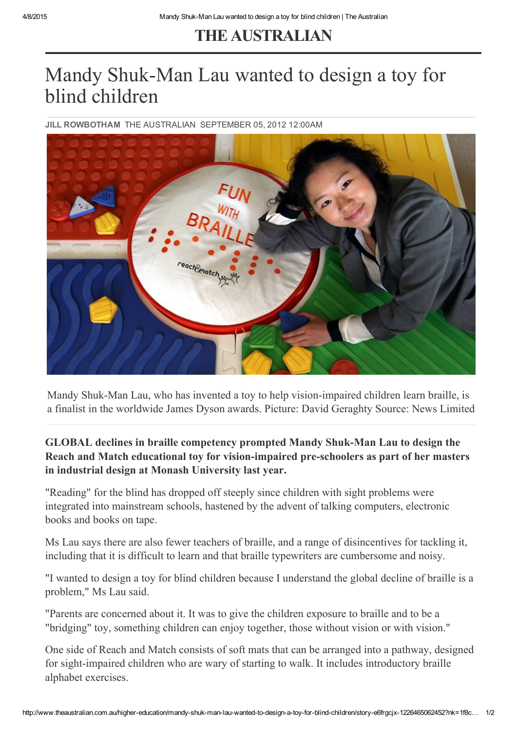## THE [AUSTRALIAN](http://www.theaustralian.com.au/)

## Mandy Shuk-Man Lau wanted to design a toy for blind children

JILL ROWBOTHAM THE [AUSTRALIAN](http://www.theaustralian.com.au/) SEPTEMBER 05, 2012 12:00AM



Mandy Shuk-Man Lau, who has invented a toy to help vision-impaired children learn braille, is a finalist in the worldwide James Dyson awards. Picture: David Geraghty Source: News Limited

GLOBAL declines in braille competency prompted Mandy Shuk-Man Lau to design the Reach and Match educational toy for vision-impaired pre-schoolers as part of her masters in industrial design at Monash University last year.

"Reading" for the blind has dropped off steeply since children with sight problems were integrated into mainstream schools, hastened by the advent of talking computers, electronic books and books on tape.

Ms Lau says there are also fewer teachers of braille, and a range of disincentives for tackling it, including that it is difficult to learn and that braille typewriters are cumbersome and noisy.

"I wanted to design a toy for blind children because I understand the global decline of braille is a problem," Ms Lau said.

"Parents are concerned about it. It was to give the children exposure to braille and to be a "bridging" toy, something children can enjoy together, those without vision or with vision."

One side of Reach and Match consists of soft mats that can be arranged into a pathway, designed for sight-impaired children who are wary of starting to walk. It includes introductory braille alphabet exercises.